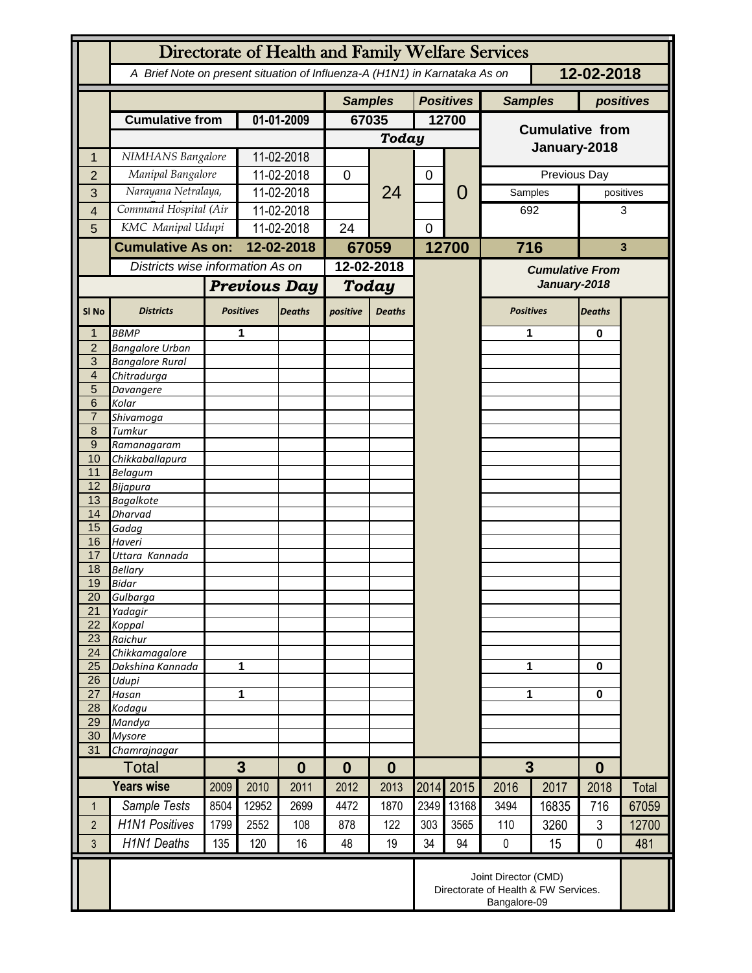|                     | Directorate of Health and Family Welfare Services                                        |                  |                          |               |                  |                      |                  |                  |                                        |              |                  |           |
|---------------------|------------------------------------------------------------------------------------------|------------------|--------------------------|---------------|------------------|----------------------|------------------|------------------|----------------------------------------|--------------|------------------|-----------|
|                     | A Brief Note on present situation of Influenza-A (H1N1) in Karnataka As on<br>12-02-2018 |                  |                          |               |                  |                      |                  |                  |                                        |              |                  |           |
|                     |                                                                                          |                  |                          |               | <b>Samples</b>   |                      |                  | <b>Positives</b> | <b>Samples</b>                         |              |                  | positives |
|                     | <b>Cumulative from</b>                                                                   |                  | 01-01-2009               |               | 67035            |                      | 12700            |                  | <b>Cumulative from</b>                 |              |                  |           |
|                     |                                                                                          |                  |                          |               | <b>Today</b>     |                      |                  |                  |                                        |              |                  |           |
| 1                   | NIMHANS Bangalore                                                                        |                  | 11-02-2018               |               |                  |                      |                  |                  | January-2018                           |              |                  |           |
| $\overline{2}$      | Manipal Bangalore                                                                        |                  | 11-02-2018               |               | 0                | 24                   | $\boldsymbol{0}$ |                  |                                        | Previous Day |                  |           |
| 3                   | Narayana Netralaya,                                                                      |                  | 11-02-2018               |               |                  |                      |                  | 0                | Samples                                |              | positives        |           |
| 4                   | Command Hospital (Air                                                                    |                  |                          | 11-02-2018    |                  |                      |                  |                  | 692                                    |              | 3                |           |
| 5                   | KMC Manipal Udupi                                                                        |                  | 11-02-2018               |               | 24               |                      | $\mathbf 0$      |                  |                                        |              |                  |           |
|                     | <b>Cumulative As on:</b>                                                                 |                  | 12-02-2018               |               | 67059            |                      |                  | 12700            | 716                                    |              |                  | 3         |
|                     | Districts wise information As on                                                         |                  |                          |               | $12 - 02 - 2018$ |                      |                  |                  |                                        |              |                  |           |
|                     |                                                                                          |                  |                          |               |                  |                      |                  |                  | <b>Cumulative From</b><br>January-2018 |              |                  |           |
|                     |                                                                                          |                  | <b>Previous Day</b>      |               | Today            |                      |                  |                  |                                        |              |                  |           |
| SI <sub>No</sub>    | <b>Districts</b>                                                                         | <b>Positives</b> |                          | <b>Deaths</b> | positive         | <b>Deaths</b>        |                  |                  | <b>Positives</b>                       |              | <b>Deaths</b>    |           |
| 1                   | <b>BBMP</b>                                                                              |                  | 1                        |               |                  |                      |                  |                  | 1                                      |              | 0                |           |
| $\overline{2}$      | <b>Bangalore Urban</b>                                                                   |                  |                          |               |                  |                      |                  |                  |                                        |              |                  |           |
| 3<br>$\overline{4}$ | <b>Bangalore Rural</b><br>Chitradurga                                                    |                  |                          |               |                  |                      |                  |                  |                                        |              |                  |           |
| 5                   | Davangere                                                                                |                  |                          |               |                  |                      |                  |                  |                                        |              |                  |           |
| 6                   | Kolar                                                                                    |                  |                          |               |                  |                      |                  |                  |                                        |              |                  |           |
| $\overline{7}$      | Shivamoga                                                                                |                  |                          |               |                  |                      |                  |                  |                                        |              |                  |           |
| 8                   | Tumkur                                                                                   |                  |                          |               |                  |                      |                  |                  |                                        |              |                  |           |
| $\overline{9}$      | Ramanagaram                                                                              |                  |                          |               |                  |                      |                  |                  |                                        |              |                  |           |
| 10<br>11            | Chikkaballapura<br><b>Belagum</b>                                                        |                  |                          |               |                  |                      |                  |                  |                                        |              |                  |           |
| 12                  | Bijapura                                                                                 |                  |                          |               |                  |                      |                  |                  |                                        |              |                  |           |
| 13                  | <b>Bagalkote</b>                                                                         |                  |                          |               |                  |                      |                  |                  |                                        |              |                  |           |
| 14                  | <b>Dharvad</b>                                                                           |                  |                          |               |                  |                      |                  |                  |                                        |              |                  |           |
| 15                  | Gadag                                                                                    |                  |                          |               |                  |                      |                  |                  |                                        |              |                  |           |
| 16                  | Haveri                                                                                   |                  |                          |               |                  |                      |                  |                  |                                        |              |                  |           |
| 17<br>18            | Uttara Kannada<br><b>Bellary</b>                                                         |                  |                          |               |                  |                      |                  |                  |                                        |              |                  |           |
| 19                  | Bidar                                                                                    |                  |                          |               |                  |                      |                  |                  |                                        |              |                  |           |
| 20                  | Gulbarga                                                                                 |                  |                          |               |                  |                      |                  |                  |                                        |              |                  |           |
| $\overline{21}$     | Yadagir                                                                                  |                  |                          |               |                  |                      |                  |                  |                                        |              |                  |           |
| 22                  | Koppal                                                                                   |                  |                          |               |                  |                      |                  |                  |                                        |              |                  |           |
| 23<br>24            | Raichur                                                                                  |                  |                          |               |                  |                      |                  |                  |                                        |              |                  |           |
| 25                  | Chikkamagalore<br>Dakshina Kannada                                                       | 1                |                          |               |                  |                      |                  |                  | 1                                      |              | 0                |           |
| 26                  | Udupi                                                                                    |                  |                          |               |                  |                      |                  |                  |                                        |              |                  |           |
| 27                  | Hasan                                                                                    | 1                |                          |               |                  |                      |                  |                  | 1                                      |              | $\bf{0}$         |           |
| 28                  | Kodagu                                                                                   |                  |                          |               |                  |                      |                  |                  |                                        |              |                  |           |
| 29                  | Mandya                                                                                   |                  |                          |               |                  |                      |                  |                  |                                        |              |                  |           |
| 30<br>31            | <b>Mysore</b><br>Chamrajnagar                                                            |                  |                          |               |                  |                      |                  |                  |                                        |              |                  |           |
|                     | <b>Total</b>                                                                             |                  | $\mathbf{3}$<br>$\bf{0}$ |               |                  | $\bf{0}$<br>$\bf{0}$ |                  |                  |                                        | 3            |                  |           |
|                     | <b>Years wise</b>                                                                        | 2009             | 2010                     | 2011          | 2012             | 2013                 | 2014             | 2015             | 2016                                   | 2017         | $\bf{0}$<br>2018 | Total     |
| $\mathbf{1}$        | Sample Tests                                                                             | 8504             | 12952                    | 2699          | 4472             | 1870                 | 2349             | 13168            | 3494                                   | 16835        | 716              | 67059     |
| $\overline{2}$      | <b>H1N1 Positives</b>                                                                    | 1799             | 2552                     | 108           | 878              | 122                  | 303              | 3565             | 110                                    | 3260         | 3                | 12700     |
| $\overline{3}$      | <b>H1N1 Deaths</b>                                                                       | 135              | 120                      | 16            | 48               | 19                   | 34               | 94               | $\pmb{0}$                              | 15           | $\mathbf 0$      | 481       |
|                     | Joint Director (CMD)<br>Directorate of Health & FW Services.<br>Bangalore-09             |                  |                          |               |                  |                      |                  |                  |                                        |              |                  |           |